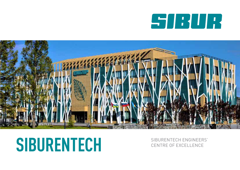# SIBUR



# SIBURENTECH SIBURENTECH ENGINEERS'

CENTRE OF EXCELLENCE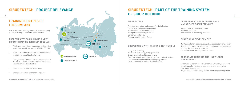

#### **SIBURENTECH**

Technical innovation and support for digitalisation Technical knowledge management Staff training for business needs Staff performance improvement Corporate culture guide Compulsory Education Centre

## **COOPERATION WITH TRAINING INSTITUTIONS**

Long term planning Work with recruiting young specialists Creating educational infrastructure Basic vocational training of students and schoolchildren Implementation of network profile programmes Development of World Skills competences

## **2 3 SIBURENTECH** | **PART OF THE TRAINING SYSTEM OF SIBUR HOLDING**

## **DEVELOPMENT OF LEADERSHIP AND MANAGEMENT COMPETENCIES**

- Development of corporate culture
- Business education
- Development of leadership practices

## **FUNCTIONAL DEVELOPMENT**

- Development of professional competencies based on target vision Creation of programmes based on priority development areas Modular development programmes
- Cross-functional development sessions

#### **CORPORATE TRAINING AND KNOWLEDGE MANAGEMENT**

- E-learning and promotion of Corporate University's products Learning performance management and data analytics Functional development
- Project management, analytics and knowledge management

# **SIBURENTECH** | **PROJECT RELEVANCE**

## **TRAINING CENTRES OF THE COMPANY**

SIBUR has some training centres at manufacturing plants, including 6 licensed support centres.

#### **PREREQUISITES FOR BUILDING A NEW FORMAT TRAINING CENTRE IN TOBOLSK:**

- Tobolsk accommodates production facilities that generate a significant part of SIBUR's EBITDA
- Building a profile of a future engineer in close proximity to one of the Customers
- Changing requirements for employees due to the development of technologies, processes automation and digitalisation
- Competition for talented employees
- Changing requirements for an employer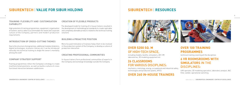# **SIBURENTECH** | **VALUE FOR SIBUR HOLDING**

#### **TRAINING FLEXIBILITY AND CUSTOMISATION CAPABILITY**

High potential of training programmes, equipment, organisation of trainers' work is able to accommodate the needs and corporate culture of the Company, partners and modern production requirements

#### **INTRODUCTION OF CROSS-CUTTING THEMES**

Due to the structure of programmes, additional modules (statistics, digital technologies, economic literacy etc.) can be introduced naturally into technical training to shape the owner's mentality among the staff

#### **COMPANY STRATEGY SUPPORT**

Training programmes reflect the Company's strategy to create multifunctional positions, as well as build a culture of crossfunctional interaction between subdivisions

## **CREATION OF FLEXIBLE PRODUCTS**

The developed model for training of in-house trainers resulted in the development of methodological standards to create replicable and completely alienable products related to the technical training solutions

#### **BUILDING A PROACTIVE POSITION**

More focused motivation of trainees helps them to be involved in the production system of the Company, to develop a culture of production interaction

#### **CREATING PROFESSIONAL COMMUNITIES**

In-house trainers form professional communities of experts in the Company and exchange knowledge outside the Company

## **SIBURENTECH** | **RESOURCES**



## **OVER 5200 SQ. M**  OF HIGH-TECH SPACE,

including models, booths, simulators, AR / VR laboratories, 3D modeling equipment etc

## **26 CLASSROOMS**  FOR VARIOUS DISCIPLINES:

mechanics, metrology, energy, occupational and industrial safety, technologies and production plants, APCS

## **OVER 260 IN-HOUSE TRAINERS**

## **OVER 100 TRAINING PROGRAMMES**

technical training covering all the disciplines

## **6 VR ROOMSROOMS WITH SIMULATORS** IN THE DISCIPLINES:

UAV operator, 3D modeling specialist, laboratory analyst, I&C fitter, welder, operational switching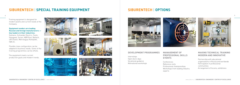

# **SIBURENTECH** | **SPECIAL TRAINING EQUIPMENT**

Training equipment is designed for modern plants and current needs of the Company.

#### **Equipment vendors are leading Russian and foreign manufacturers key leaders in their industries:**

Siemens, Schneider Electric, Festo, Yokogawa, Sulzer, KBR East, Baltech, UPS Eaton, Metrologiya-Komplekt, IQB etc.

Flexible class configuration can be adapted to business needs. Some of the training programmes can be offsite.

The equipment meets current production goals and modern trends.













# **SIBURENTECH** | **OPTIONS**

#### **DEVELOPMENT PROGRAMMES**

Internships Open doors days Vocational guidance Motivational workshops

## **MANAGEMENT OF PROFESSIONAL SKILLS EVENTS**

Conferences Reference visits Professional championships Workshops from leading industry experts





### **MAKING TECHNICAL TRAINING MODERN AND INNOVATIVE**

Partnership with educational organisations in Russia and worldwide Participation in professional communities Arrangement of forums, exhibitions